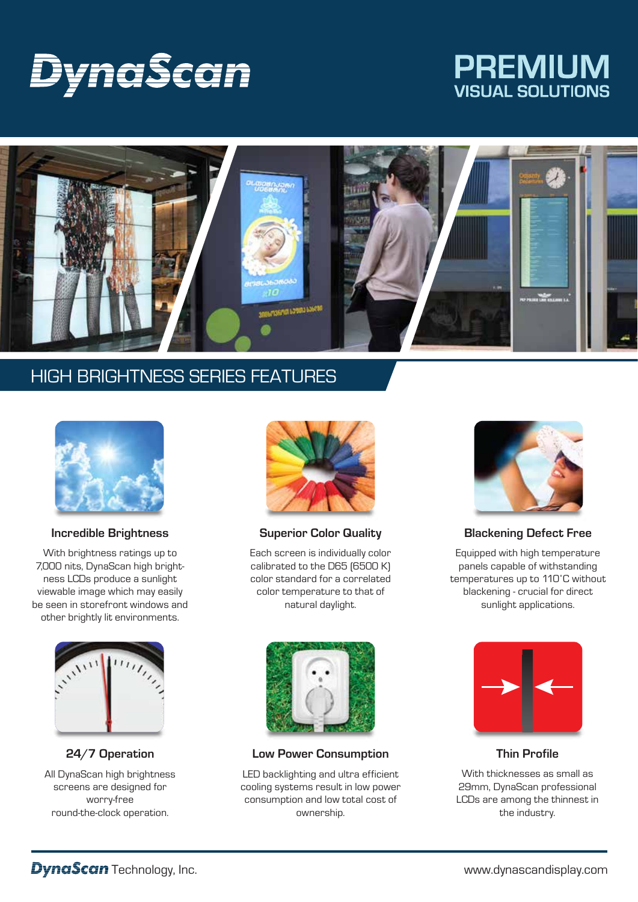# Dyna§can

## **PREMIUM VISUAL SOLUTIONS**



## HIGH BRIGHTNESS SERIES FEATURES



#### **Incredible Brightness**

With brightness ratings up to 7,000 nits, DynaScan high brightness LCDs produce a sunlight viewable image which may easily be seen in storefront windows and other brightly lit environments.



#### **24/7 Operation**

All DynaScan high brightness screens are designed for worry-free round-the-clock operation.



**Superior Color Quality**

Each screen is individually color calibrated to the D65 (6500 K) color standard for a correlated color temperature to that of natural daylight.



#### **Low Power Consumption**

LED backlighting and ultra efficient cooling systems result in low power consumption and low total cost of ownership.



#### **Blackening Defect Free**

Equipped with high temperature panels capable of withstanding temperatures up to 110˚C without blackening - crucial for direct sunlight applications.



**Thin Profile**

With thicknesses as small as 29mm, DynaScan professional LCDs are among the thinnest in the industry.